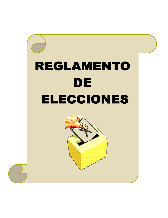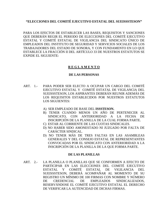## **"ELECCIONES DEL COMITÉ EJECUTIVO ESTATAL DEL SUEISSSTESON"**

PARA LOS EFECTOS DE ESTABLECER LAS BASES, REQUISITOS Y SANCIONES QUE DEBERÁN REGIR EL PERIODO DE ELECCIONES DEL COMITÉ EJECUTIVO ESTATAL Y COMITÉ ESTATAL DE VIGILANCIA DEL SINDICATO ÚNICO DE EMPLEADOS DEL INSTITUTO DE SEGURIDAD Y SERVICIOS SOCIALES DE LOS TRABAJADORES DEL ESTADO DE SONORA, Y CON FUNDAMENTO EN LO QUE ESTABLECE LA FRACCIÓN II DEL ARTÍCULO 33 DE NUESTROS ESTATUTOS SE EXPIDE EL SIGUIENTE:

# **R E G L A M E N T O**

## **DE LAS PERSONAS**

- ART. 1.- PARA PODER SER ELECTO A OCUPAR UN CARGO DEL COMITÉ EJECUTIVO ESTATAL Y COMITÉ ESTATAL DE VIGILANCIA DEL SUEISSSTESON, LOS ASPIRANTES DEBERÁN REUNIR ADEMÁS DE LOS REQUISITOS ESTABLECIDOS POR NUESTROS ESTATUTOS LOS SIGUIENTES:
	- A) SER EMPLEADO DE BASE DEL **ISSSTESON.**
	- B) TENER CUANDO MENOS UN AÑO DE PERTENECER AL SINDICATO, CON ANTERIORIDAD A LA FECHA DE INSCRIPCIÓN DE LA PLANILLA DE LA CUAL FORMA PARTE.
	- C) ESTAR AL CORRIENTE DE LAS CUOTAS SINDICALES.
	- D) NO HABER SIDO AMONESTADO NI JUZGADO POR FALTA DE CARÁCTER SINDICAL.
	- D) NO TENER MÁS DE TRES FALTAS EN LAS ASAMBLEAS GENERALES Y DEL CONSEJO ESTATAL DE REPRESENTANTES CONVOCADAS POR EL SINDICATO CON ANTERIORIDAD A LA INSCRIPCIÓN DE LA PLANILLA DE LA QUE FORMA PARTE.

## **DE LAS PLANILLAS**

ART. 2.- LA PLANILLA O PLANILLAS QUE SE CONFORMEN A EFECTO DE PARTICIPAR EN LAS ELECCIONES DEL COMITÉ EJECUTIVO ESTATAL Y COMITÉ ESTATAL DE VIGILANCIA DEL SUEISSSTESON, DEBERÁ ACOMPAÑAR AL MOMENTO DE SU REGISTRO UN MÍNIMO DE 100 FIRMAS CON NOMBRE Y NÚMERO DE CREDENCIAL DE EMPLEADOS SINDICALIZADOS, RESERVÁNDOSE EL COMITÉ EJECUTIVO ESTATAL EL DERECHO DE VERIFICAR LA AUTENCIDAD DE DICHAS FIRMAS.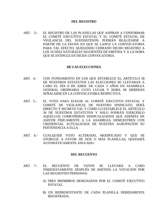### **DEL REGISTRO**

ART. 3.- EL REGISTRO DE LAS PLANILLAS QUE ASPIRAN A CONFORMAR EL COMITÉ EJECUTIVO ESTATAL Y EL COMITÉ ESTATAL DE VIGILANCIA DEL SUEISSSTESON, PODRÁN REALIZARSE A PARTIR DE LA FECHA EN QUE SE LANCE LA CONVOCATORIA PARA TAL EFECTO; QUEDANDO CERRADO DICHO REGISTRO A LOS 10 DÍAS NATURALES SIGUIENTES DE EMITIDA Y A LA HORA QUE SE ESTIPULE EN DICHA CONVOCATORIA.

### **DE LAS ELECCIONES**

- ART. 4.- CON FUNDAMENTO EN LOS QUE ESTABLECE EL ARTÍCULO 58 DE NUESTROS ESTATUTOS LAS ELECCIONES SE LLEVARAN A CABO EL DÍA 8 DE ABRIL DE CADA 3 AÑOS EN ASAMBLEA GENERAL ORDINARIA CUYO LUGAR Y HORA SE DEBERÁN SEÑALARSE EN LA CONVOCATORIA RESPECTIVA.
- ART. 5.- EL VOTO PARA ELEGIR AL COMITÉ EJECUTIVO ESTATAL Y COMITÉ DE VIGILANCIA DE NUESTRO SINDICATO, SERÁ DIRECTO Y SECRETO TAL Y COMO LO ESTABLECE EL ARTÍCULO 36 DE NUESTROS ESTATUTOS Y SOLO PODRÁN EJERCERLO AQUELLOS COMPAÑEROS SINDICALIZADOS QUE ADEMÁS DE ASISTIR FÍSICAMENTE A LA ASAMBLEA DEMUESTREN CON CREDENCIAL ACTUALIZADA DE NUESTRA AGRUPACIÓN SU PERTENENCIA A ELLA.
- ART. 6.- CUALQUIER VOTO ALTERADO, MODIFICADO Y QUE SE OTORGUE A FAVOR DE DOS O MÁS PLANILLAS, QUEDARÁ AUTOMÁTICAMENTE ANULADO.

## **DEL RECUENTO**

- ART. 7.- EL RECUENTO DE VOTOS SE LLEVARÁ A CABO INMEDIATAMENTE DESPUÉS DE EMITIDA LA VOTACIÓN POR LAS SIGUIENTES PERSONAS:
	- A) TRES MIEMBROS DESIGNADOS POR EL COMITÉ EJECUTIVO ESTATAL.
	- B) UN REPRESENTANTE DE CADA PLANILLA DEBIDAMENTE REGISTRADA.